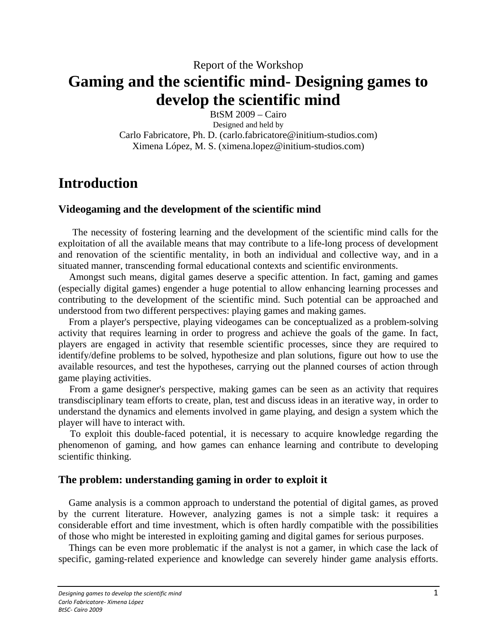# Report of the Workshop **Gaming and the scientific mind- Designing games to develop the scientific mind**

BtSM 2009 – Cairo

Designed and held by Carlo Fabricatore, Ph. D. (carlo.fabricatore@initium-studios.com) Ximena López, M. S. (ximena.lopez@initium-studios.com)

# **Introduction**

## **Videogaming and the development of the scientific mind**

 The necessity of fostering learning and the development of the scientific mind calls for the exploitation of all the available means that may contribute to a life-long process of development and renovation of the scientific mentality, in both an individual and collective way, and in a situated manner, transcending formal educational contexts and scientific environments.

 Amongst such means, digital games deserve a specific attention. In fact, gaming and games (especially digital games) engender a huge potential to allow enhancing learning processes and contributing to the development of the scientific mind. Such potential can be approached and understood from two different perspectives: playing games and making games.

 From a player's perspective, playing videogames can be conceptualized as a problem-solving activity that requires learning in order to progress and achieve the goals of the game. In fact, players are engaged in activity that resemble scientific processes, since they are required to identify/define problems to be solved, hypothesize and plan solutions, figure out how to use the available resources, and test the hypotheses, carrying out the planned courses of action through game playing activities.

 From a game designer's perspective, making games can be seen as an activity that requires transdisciplinary team efforts to create, plan, test and discuss ideas in an iterative way, in order to understand the dynamics and elements involved in game playing, and design a system which the player will have to interact with.

 To exploit this double-faced potential, it is necessary to acquire knowledge regarding the phenomenon of gaming, and how games can enhance learning and contribute to developing scientific thinking.

## **The problem: understanding gaming in order to exploit it**

 Game analysis is a common approach to understand the potential of digital games, as proved by the current literature. However, analyzing games is not a simple task: it requires a considerable effort and time investment, which is often hardly compatible with the possibilities of those who might be interested in exploiting gaming and digital games for serious purposes.

 Things can be even more problematic if the analyst is not a gamer, in which case the lack of specific, gaming-related experience and knowledge can severely hinder game analysis efforts.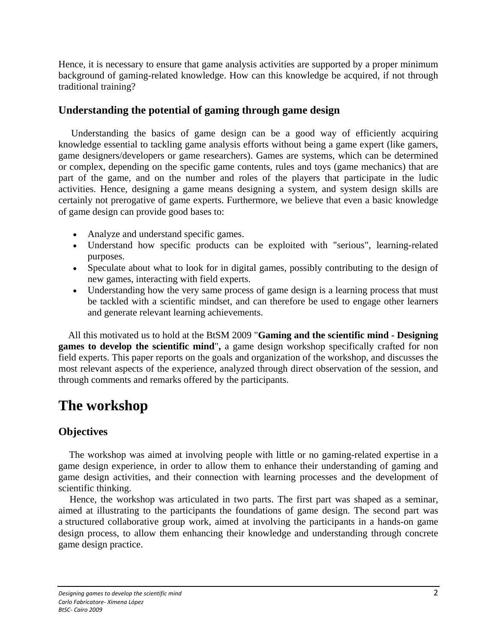Hence, it is necessary to ensure that game analysis activities are supported by a proper minimum background of gaming-related knowledge. How can this knowledge be acquired, if not through traditional training?

## **Understanding the potential of gaming through game design**

 Understanding the basics of game design can be a good way of efficiently acquiring knowledge essential to tackling game analysis efforts without being a game expert (like gamers, game designers/developers or game researchers). Games are systems, which can be determined or complex, depending on the specific game contents, rules and toys (game mechanics) that are part of the game, and on the number and roles of the players that participate in the ludic activities. Hence, designing a game means designing a system, and system design skills are certainly not prerogative of game experts. Furthermore, we believe that even a basic knowledge of game design can provide good bases to:

- Analyze and understand specific games.
- Understand how specific products can be exploited with "serious", learning-related purposes.
- Speculate about what to look for in digital games, possibly contributing to the design of new games, interacting with field experts.
- Understanding how the very same process of game design is a learning process that must be tackled with a scientific mindset, and can therefore be used to engage other learners and generate relevant learning achievements.

 All this motivated us to hold at the BtSM 2009 "**Gaming and the scientific mind - Designing games to develop the scientific mind**"**,** a game design workshop specifically crafted for non field experts. This paper reports on the goals and organization of the workshop, and discusses the most relevant aspects of the experience, analyzed through direct observation of the session, and through comments and remarks offered by the participants.

# **The workshop**

## **Objectives**

 The workshop was aimed at involving people with little or no gaming-related expertise in a game design experience, in order to allow them to enhance their understanding of gaming and game design activities, and their connection with learning processes and the development of scientific thinking.

 Hence, the workshop was articulated in two parts. The first part was shaped as a seminar, aimed at illustrating to the participants the foundations of game design. The second part was a structured collaborative group work, aimed at involving the participants in a hands-on game design process, to allow them enhancing their knowledge and understanding through concrete game design practice.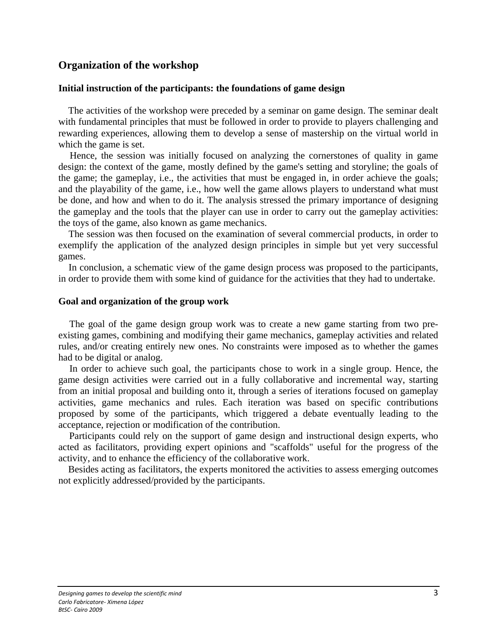### **Organization of the workshop**

#### **Initial instruction of the participants: the foundations of game design**

 The activities of the workshop were preceded by a seminar on game design. The seminar dealt with fundamental principles that must be followed in order to provide to players challenging and rewarding experiences, allowing them to develop a sense of mastership on the virtual world in which the game is set.

 Hence, the session was initially focused on analyzing the cornerstones of quality in game design: the context of the game, mostly defined by the game's setting and storyline; the goals of the game; the gameplay, i.e., the activities that must be engaged in, in order achieve the goals; and the playability of the game, i.e., how well the game allows players to understand what must be done, and how and when to do it. The analysis stressed the primary importance of designing the gameplay and the tools that the player can use in order to carry out the gameplay activities: the toys of the game, also known as game mechanics.

 The session was then focused on the examination of several commercial products, in order to exemplify the application of the analyzed design principles in simple but yet very successful games.

 In conclusion, a schematic view of the game design process was proposed to the participants, in order to provide them with some kind of guidance for the activities that they had to undertake.

#### **Goal and organization of the group work**

 The goal of the game design group work was to create a new game starting from two preexisting games, combining and modifying their game mechanics, gameplay activities and related rules, and/or creating entirely new ones. No constraints were imposed as to whether the games had to be digital or analog.

 In order to achieve such goal, the participants chose to work in a single group. Hence, the game design activities were carried out in a fully collaborative and incremental way, starting from an initial proposal and building onto it, through a series of iterations focused on gameplay activities, game mechanics and rules. Each iteration was based on specific contributions proposed by some of the participants, which triggered a debate eventually leading to the acceptance, rejection or modification of the contribution.

 Participants could rely on the support of game design and instructional design experts, who acted as facilitators, providing expert opinions and "scaffolds" useful for the progress of the activity, and to enhance the efficiency of the collaborative work.

 Besides acting as facilitators, the experts monitored the activities to assess emerging outcomes not explicitly addressed/provided by the participants.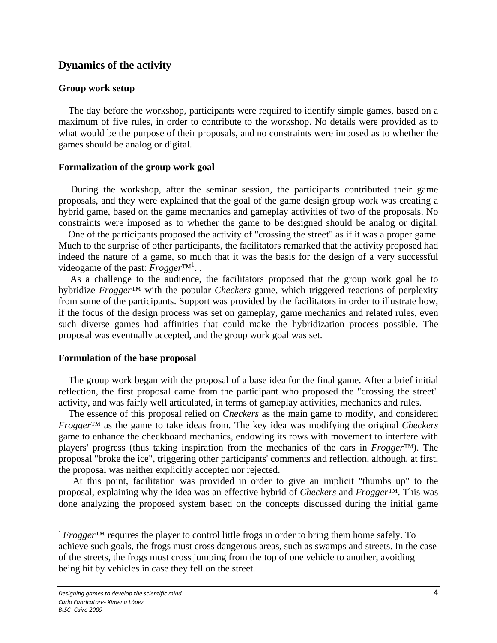### **Dynamics of the activity**

#### **Group work setup**

 The day before the workshop, participants were required to identify simple games, based on a maximum of five rules, in order to contribute to the workshop. No details were provided as to what would be the purpose of their proposals, and no constraints were imposed as to whether the games should be analog or digital.

#### **Formalization of the group work goal**

 During the workshop, after the seminar session, the participants contributed their game proposals, and they were explained that the goal of the game design group work was creating a hybrid game, based on the game mechanics and gameplay activities of two of the proposals. No constraints were imposed as to whether the game to be designed should be analog or digital.

 One of the participants proposed the activity of "crossing the street" as if it was a proper game. Much to the surprise of other participants, the facilitators remarked that the activity proposed had indeed the nature of a game, so much that it was the basis for the design of a very successful videogame of the past: *Frogger*<sup>TM<sup>1</sup>...</sup>

 As a challenge to the audience, the facilitators proposed that the group work goal be to hybridize *Frogger™* with the popular *Checkers* game, which triggered reactions of perplexity from some of the participants. Support was provided by the facilitators in order to illustrate how, if the focus of the design process was set on gameplay, game mechanics and related rules, even such diverse games had affinities that could make the hybridization process possible. The proposal was eventually accepted, and the group work goal was set.

#### **Formulation of the base proposal**

 The group work began with the proposal of a base idea for the final game. After a brief initial reflection, the first proposal came from the participant who proposed the "crossing the street" activity, and was fairly well articulated, in terms of gameplay activities, mechanics and rules.

 The essence of this proposal relied on *Checkers* as the main game to modify, and considered *Frogger™* as the game to take ideas from. The key idea was modifying the original *Checkers* game to enhance the checkboard mechanics, endowing its rows with movement to interfere with players' progress (thus taking inspiration from the mechanics of the cars in *Frogger™*). The proposal "broke the ice", triggering other participants' comments and reflection, although, at first, the proposal was neither explicitly accepted nor rejected.

 At this point, facilitation was provided in order to give an implicit "thumbs up" to the proposal, explaining why the idea was an effective hybrid of *Checkers* and *Frogger™*. This was done analyzing the proposed system based on the concepts discussed during the initial game

<sup>1</sup> *Frogger*™ requires the player to control little frogs in order to bring them home safely. To achieve such goals, the frogs must cross dangerous areas, such as swamps and streets. In the case of the streets, the frogs must cross jumping from the top of one vehicle to another, avoiding being hit by vehicles in case they fell on the street.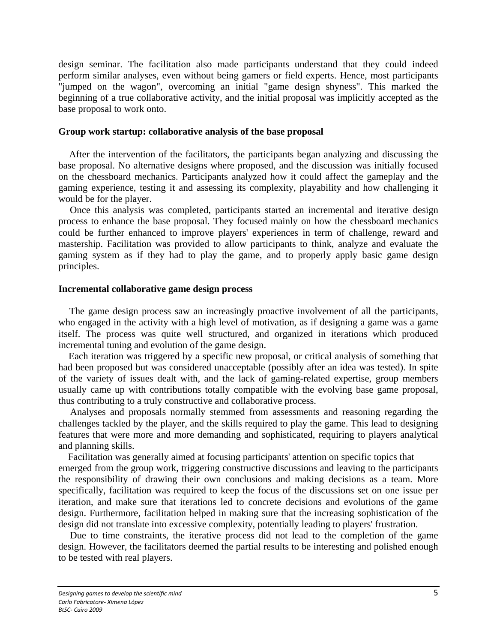design seminar. The facilitation also made participants understand that they could indeed perform similar analyses, even without being gamers or field experts. Hence, most participants "jumped on the wagon", overcoming an initial "game design shyness". This marked the beginning of a true collaborative activity, and the initial proposal was implicitly accepted as the base proposal to work onto.

#### **Group work startup: collaborative analysis of the base proposal**

 After the intervention of the facilitators, the participants began analyzing and discussing the base proposal. No alternative designs where proposed, and the discussion was initially focused on the chessboard mechanics. Participants analyzed how it could affect the gameplay and the gaming experience, testing it and assessing its complexity, playability and how challenging it would be for the player.

 Once this analysis was completed, participants started an incremental and iterative design process to enhance the base proposal. They focused mainly on how the chessboard mechanics could be further enhanced to improve players' experiences in term of challenge, reward and mastership. Facilitation was provided to allow participants to think, analyze and evaluate the gaming system as if they had to play the game, and to properly apply basic game design principles.

### **Incremental collaborative game design process**

 The game design process saw an increasingly proactive involvement of all the participants, who engaged in the activity with a high level of motivation, as if designing a game was a game itself. The process was quite well structured, and organized in iterations which produced incremental tuning and evolution of the game design.

 Each iteration was triggered by a specific new proposal, or critical analysis of something that had been proposed but was considered unacceptable (possibly after an idea was tested). In spite of the variety of issues dealt with, and the lack of gaming-related expertise, group members usually came up with contributions totally compatible with the evolving base game proposal, thus contributing to a truly constructive and collaborative process.

 Analyses and proposals normally stemmed from assessments and reasoning regarding the challenges tackled by the player, and the skills required to play the game. This lead to designing features that were more and more demanding and sophisticated, requiring to players analytical and planning skills.

 Facilitation was generally aimed at focusing participants' attention on specific topics that emerged from the group work, triggering constructive discussions and leaving to the participants the responsibility of drawing their own conclusions and making decisions as a team. More specifically, facilitation was required to keep the focus of the discussions set on one issue per iteration, and make sure that iterations led to concrete decisions and evolutions of the game design. Furthermore, facilitation helped in making sure that the increasing sophistication of the design did not translate into excessive complexity, potentially leading to players' frustration.

 Due to time constraints, the iterative process did not lead to the completion of the game design. However, the facilitators deemed the partial results to be interesting and polished enough to be tested with real players.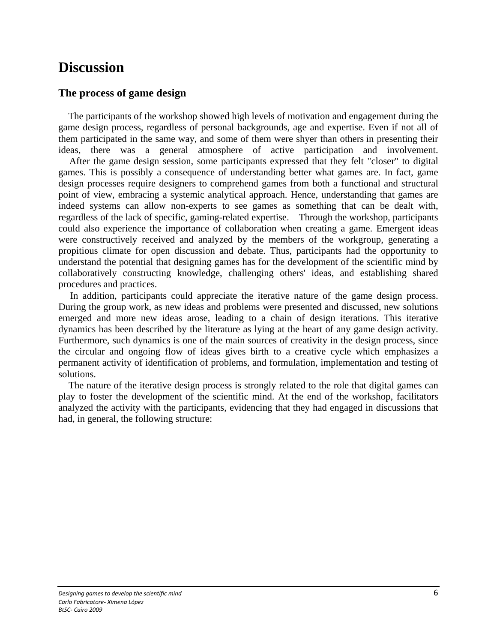# **Discussion**

## **The process of game design**

 The participants of the workshop showed high levels of motivation and engagement during the game design process, regardless of personal backgrounds, age and expertise. Even if not all of them participated in the same way, and some of them were shyer than others in presenting their ideas, there was a general atmosphere of active participation and involvement.

 After the game design session, some participants expressed that they felt "closer" to digital games. This is possibly a consequence of understanding better what games are. In fact, game design processes require designers to comprehend games from both a functional and structural point of view, embracing a systemic analytical approach. Hence, understanding that games are indeed systems can allow non-experts to see games as something that can be dealt with, regardless of the lack of specific, gaming-related expertise. Through the workshop, participants could also experience the importance of collaboration when creating a game. Emergent ideas were constructively received and analyzed by the members of the workgroup, generating a propitious climate for open discussion and debate. Thus, participants had the opportunity to understand the potential that designing games has for the development of the scientific mind by collaboratively constructing knowledge, challenging others' ideas, and establishing shared procedures and practices.

 In addition, participants could appreciate the iterative nature of the game design process. During the group work, as new ideas and problems were presented and discussed, new solutions emerged and more new ideas arose, leading to a chain of design iterations. This iterative dynamics has been described by the literature as lying at the heart of any game design activity. Furthermore, such dynamics is one of the main sources of creativity in the design process, since the circular and ongoing flow of ideas gives birth to a creative cycle which emphasizes a permanent activity of identification of problems, and formulation, implementation and testing of solutions.

 The nature of the iterative design process is strongly related to the role that digital games can play to foster the development of the scientific mind. At the end of the workshop, facilitators analyzed the activity with the participants, evidencing that they had engaged in discussions that had, in general, the following structure: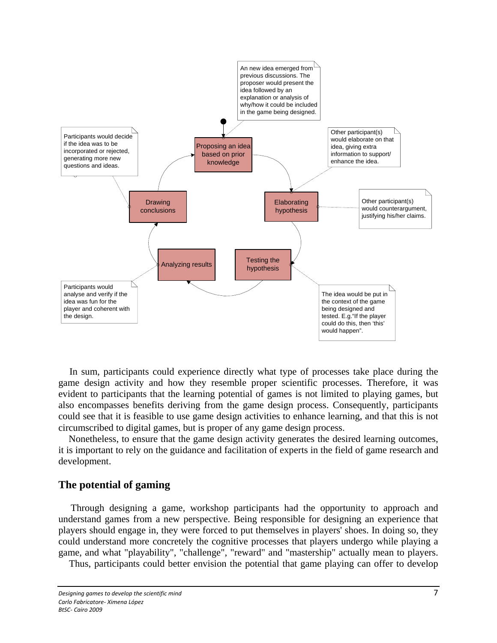

 In sum, participants could experience directly what type of processes take place during the game design activity and how they resemble proper scientific processes. Therefore, it was evident to participants that the learning potential of games is not limited to playing games, but also encompasses benefits deriving from the game design process. Consequently, participants could see that it is feasible to use game design activities to enhance learning, and that this is not circumscribed to digital games, but is proper of any game design process.

 Nonetheless, to ensure that the game design activity generates the desired learning outcomes, it is important to rely on the guidance and facilitation of experts in the field of game research and development.

### **The potential of gaming**

 Through designing a game, workshop participants had the opportunity to approach and understand games from a new perspective. Being responsible for designing an experience that players should engage in, they were forced to put themselves in players' shoes. In doing so, they could understand more concretely the cognitive processes that players undergo while playing a game, and what "playability", "challenge", "reward" and "mastership" actually mean to players.

Thus, participants could better envision the potential that game playing can offer to develop